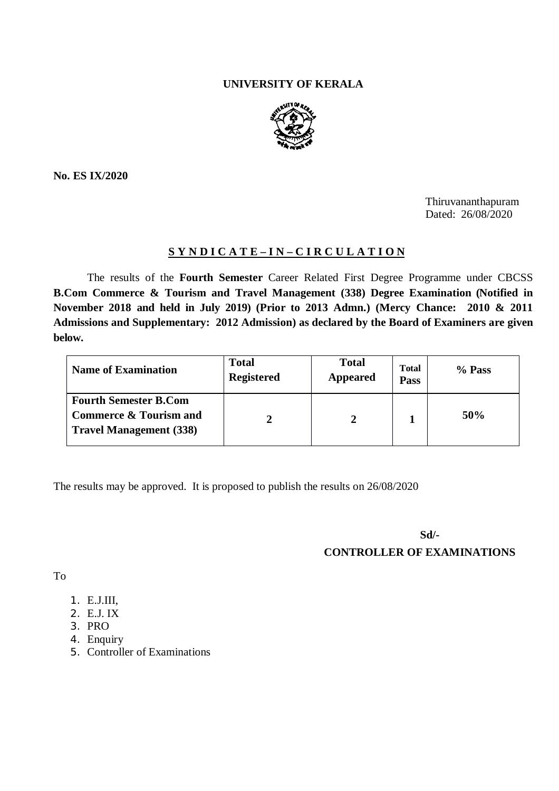## **UNIVERSITY OF KERALA**



**No. ES IX/2020**

Thiruvananthapuram Dated: 26/08/2020

# **S Y N D I C A T E – I N – C I R C U L A T I O N**

The results of the **Fourth Semester** Career Related First Degree Programme under CBCSS **B.Com Commerce & Tourism and Travel Management (338) Degree Examination (Notified in November 2018 and held in July 2019) (Prior to 2013 Admn.) (Mercy Chance: 2010 & 2011 Admissions and Supplementary: 2012 Admission) as declared by the Board of Examiners are given below.**

| <b>Name of Examination</b>                                                                          | <b>Total</b><br><b>Registered</b> | <b>Total</b><br><b>Appeared</b> | <b>Total</b><br>Pass | % Pass |
|-----------------------------------------------------------------------------------------------------|-----------------------------------|---------------------------------|----------------------|--------|
| <b>Fourth Semester B.Com</b><br><b>Commerce &amp; Tourism and</b><br><b>Travel Management (338)</b> |                                   |                                 |                      | 50%    |

The results may be approved. It is proposed to publish the results on 26/08/2020

**Sd/-**

**CONTROLLER OF EXAMINATIONS**

To

- 1. E.J.III,
- 2. E.J. IX
- 3. PRO
- 4. Enquiry
- 5. Controller of Examinations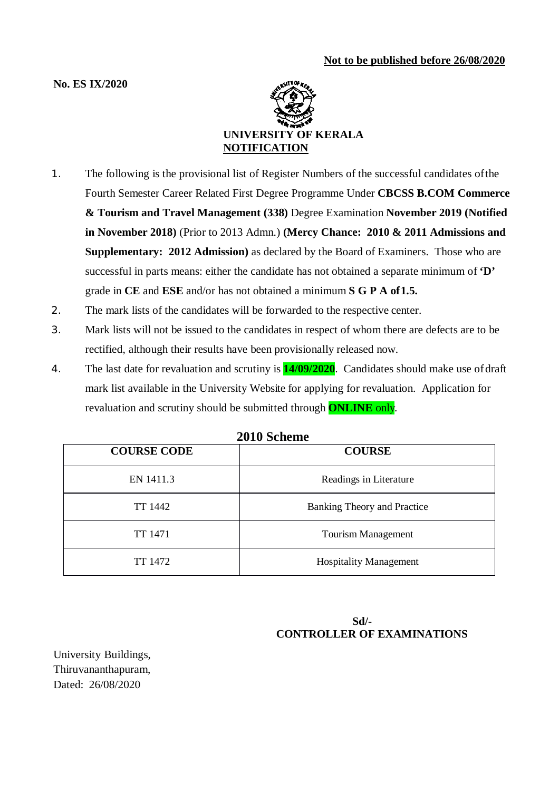## **No. ES IX/2020**



- 1. The following is the provisional list of Register Numbers of the successful candidates ofthe Fourth Semester Career Related First Degree Programme Under **CBCSS B.COM Commerce & Tourism and Travel Management (338)** Degree Examination **November 2019 (Notified in November 2018)** (Prior to 2013 Admn.) **(Mercy Chance: 2010 & 2011 Admissions and Supplementary: 2012 Admission)** as declared by the Board of Examiners. Those who are successful in parts means: either the candidate has not obtained a separate minimum of **'D'**  grade in **CE** and **ESE** and/or has not obtained a minimum **S G P A of1.5.**
- 2. The mark lists of the candidates will be forwarded to the respective center.
- 3. Mark lists will not be issued to the candidates in respect of whom there are defects are to be rectified, although their results have been provisionally released now.
- 4. The last date for revaluation and scrutiny is **14/09/2020**. Candidates should make use ofdraft mark list available in the University Website for applying for revaluation. Application for revaluation and scrutiny should be submitted through **ONLINE** only.

| <b>COURSE CODE</b> | ZUTA DEMEMIE<br><b>COURSE</b> |  |
|--------------------|-------------------------------|--|
| EN 1411.3          | Readings in Literature        |  |
| TT 1442            | Banking Theory and Practice   |  |
| TT 1471            | <b>Tourism Management</b>     |  |
| TT 1472            | <b>Hospitality Management</b> |  |

## **2010 Scheme**

# **Sd/- CONTROLLER OF EXAMINATIONS**

University Buildings, Thiruvananthapuram, Dated: 26/08/2020